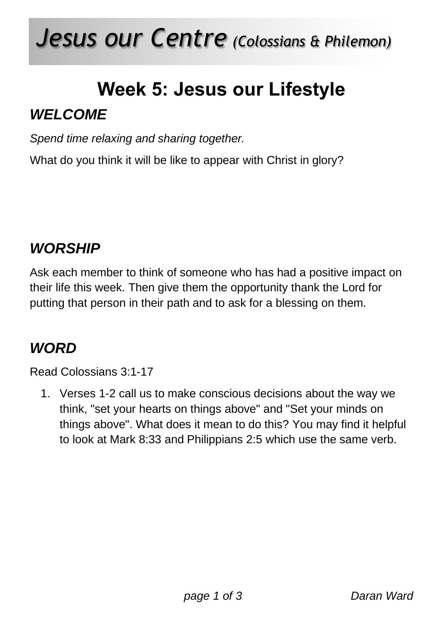## *Jesus our Centre (Colossians & Philemon)*

# **Week 5: Jesus our Lifestyle**

#### *WELCOME*

*Spend time relaxing and sharing together.*

What do you think it will be like to appear with Christ in glory?

#### *WORSHIP*

Ask each member to think of someone who has had a positive impact on their life this week. Then give them the opportunity thank the Lord for putting that person in their path and to ask for a blessing on them.

#### *WORD*

Read Colossians 3:1-17

1. Verses 1-2 call us to make conscious decisions about the way we think, "set your hearts on things above" and "Set your minds on things above". What does it mean to do this? You may find it helpful to look at Mark 8:33 and Philippians 2:5 which use the same verb.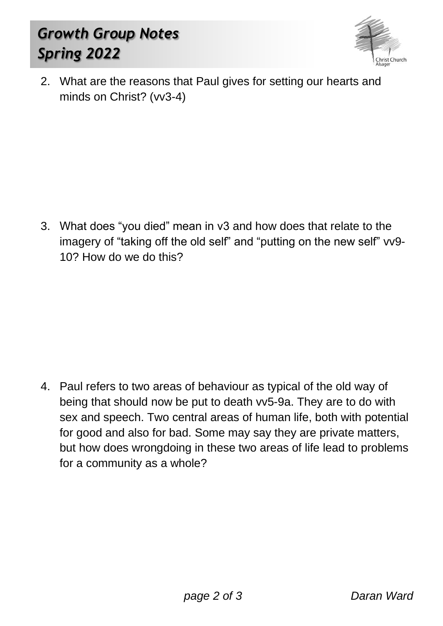### *Growth Group Notes Spring 2022*



2. What are the reasons that Paul gives for setting our hearts and minds on Christ? (vv3-4)

3. What does "you died" mean in v3 and how does that relate to the imagery of "taking off the old self" and "putting on the new self" vv9- 10? How do we do this?

4. Paul refers to two areas of behaviour as typical of the old way of being that should now be put to death vv5-9a. They are to do with sex and speech. Two central areas of human life, both with potential for good and also for bad. Some may say they are private matters, but how does wrongdoing in these two areas of life lead to problems for a community as a whole?